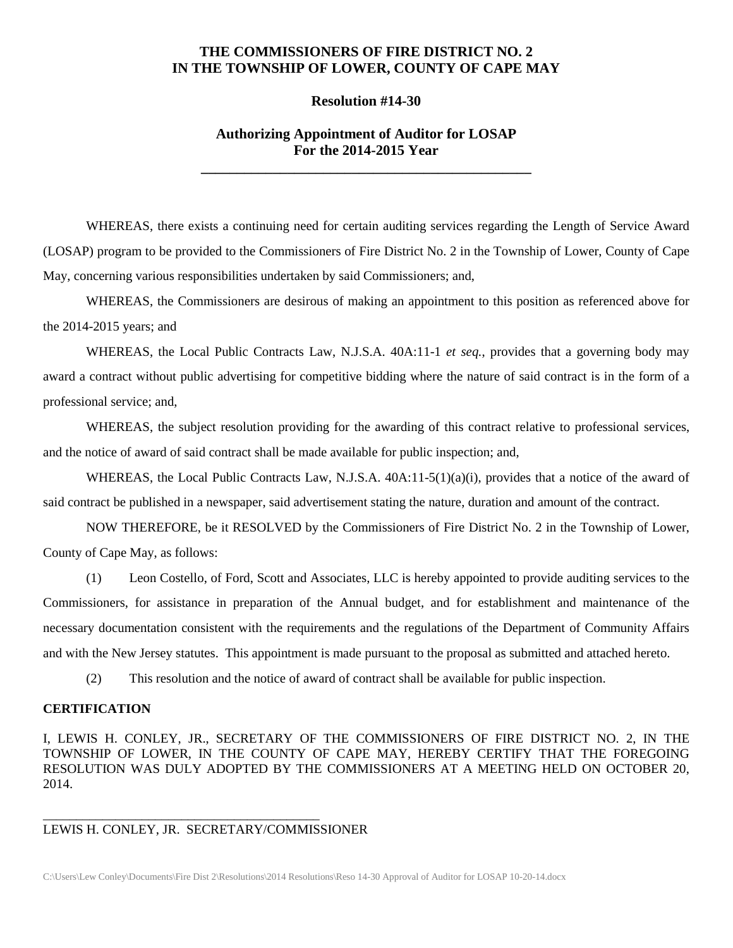### **THE COMMISSIONERS OF FIRE DISTRICT NO. 2 IN THE TOWNSHIP OF LOWER, COUNTY OF CAPE MAY**

#### **Resolution #14-30**

## **Authorizing Appointment of Auditor for LOSAP For the 2014-2015 Year**

**\_\_\_\_\_\_\_\_\_\_\_\_\_\_\_\_\_\_\_\_\_\_\_\_\_\_\_\_\_\_\_\_\_\_\_\_\_\_\_\_\_\_\_\_\_\_**

WHEREAS, there exists a continuing need for certain auditing services regarding the Length of Service Award (LOSAP) program to be provided to the Commissioners of Fire District No. 2 in the Township of Lower, County of Cape May, concerning various responsibilities undertaken by said Commissioners; and,

WHEREAS, the Commissioners are desirous of making an appointment to this position as referenced above for the 2014-2015 years; and

WHEREAS, the Local Public Contracts Law, N.J.S.A. 40A:11-1 *et seq.*, provides that a governing body may award a contract without public advertising for competitive bidding where the nature of said contract is in the form of a professional service; and,

WHEREAS, the subject resolution providing for the awarding of this contract relative to professional services, and the notice of award of said contract shall be made available for public inspection; and,

WHEREAS, the Local Public Contracts Law, N.J.S.A. 40A:11-5(1)(a)(i), provides that a notice of the award of said contract be published in a newspaper, said advertisement stating the nature, duration and amount of the contract.

NOW THEREFORE, be it RESOLVED by the Commissioners of Fire District No. 2 in the Township of Lower, County of Cape May, as follows:

(1) Leon Costello, of Ford, Scott and Associates, LLC is hereby appointed to provide auditing services to the Commissioners, for assistance in preparation of the Annual budget, and for establishment and maintenance of the necessary documentation consistent with the requirements and the regulations of the Department of Community Affairs and with the New Jersey statutes. This appointment is made pursuant to the proposal as submitted and attached hereto.

(2) This resolution and the notice of award of contract shall be available for public inspection.

#### **CERTIFICATION**

I, LEWIS H. CONLEY, JR., SECRETARY OF THE COMMISSIONERS OF FIRE DISTRICT NO. 2, IN THE TOWNSHIP OF LOWER, IN THE COUNTY OF CAPE MAY, HEREBY CERTIFY THAT THE FOREGOING RESOLUTION WAS DULY ADOPTED BY THE COMMISSIONERS AT A MEETING HELD ON OCTOBER 20, 2014.

# LEWIS H. CONLEY, JR. SECRETARY/COMMISSIONER

\_\_\_\_\_\_\_\_\_\_\_\_\_\_\_\_\_\_\_\_\_\_\_\_\_\_\_\_\_\_\_\_\_\_\_\_\_\_\_\_\_\_

C:\Users\Lew Conley\Documents\Fire Dist 2\Resolutions\2014 Resolutions\Reso 14-30 Approval of Auditor for LOSAP 10-20-14.docx